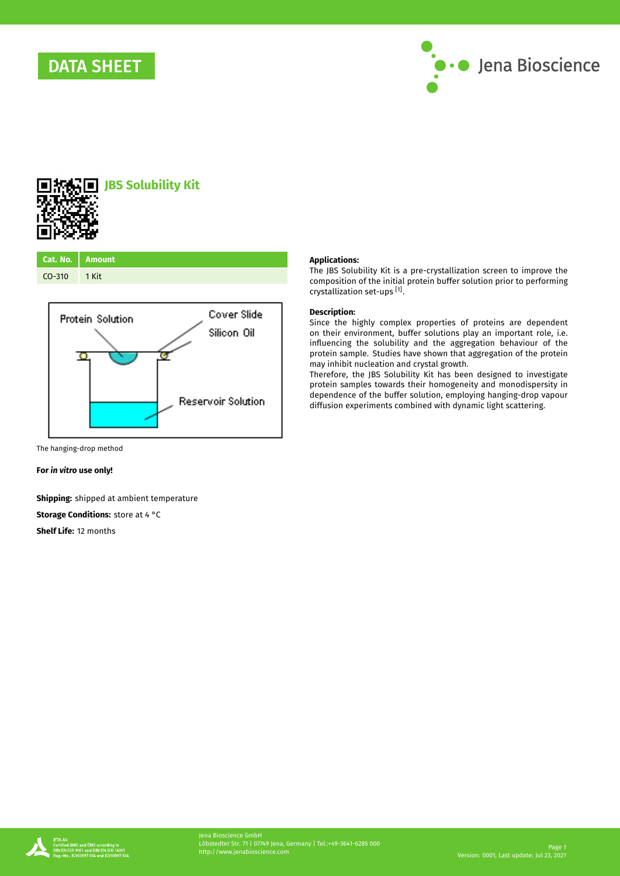



# **JBS Solubility Kit**

| Cat. No. Amount |  |
|-----------------|--|
| $CO-310$ 1 Kit  |  |



**Applications:**

The JBS Solubility Kit is a pre-crystallization screen to improve the composition of the initial protein buffer solution prior to performing crystallization set-ups [1] .

## **Description:**

Since the highly complex properties of proteins are dependent on their environment, buffer solutions play an important role, i.e. influencing the solubility and the aggregation behaviour of the protein sample. Studies have shown that aggregation of the protein may inhibit nucleation and crystal growth.

Therefore, the JBS Solubility Kit has been designed to investigate protein samples towards their homogeneity and monodispersity in dependence of the buffer solution, employing hanging-drop vapour diffusion experiments combined with dynamic light scattering.

The hanging-drop method

**For** *in vitro* **use only!**

**Shipping:** shipped at ambient temperature

**Storage Conditions:** store at 4 °C

**Shelf Life:** 12 months

and Em5 according<br>01 and DJN EN <mark>I</mark>SO 1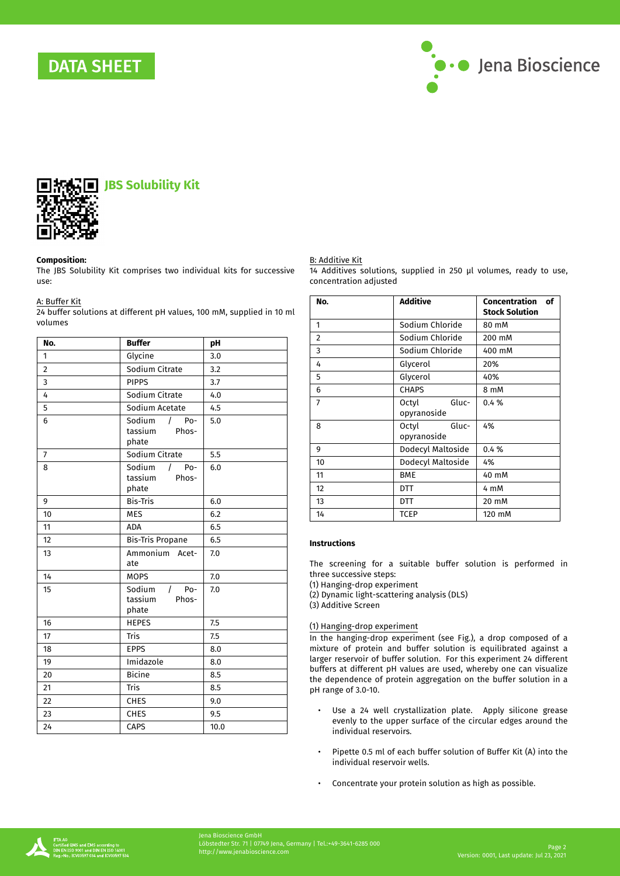



#### **Composition:**

The JBS Solubility Kit comprises two individual kits for successive use:

## A: Buffer Kit

24 buffer solutions at different pH values, 100 mM, supplied in 10 ml volumes

| No.            | <b>Buffer</b>                                  | pH   |
|----------------|------------------------------------------------|------|
| 1              | Glycine                                        | 3.0  |
| $\overline{2}$ | Sodium Citrate                                 | 3.2  |
| 3              | <b>PIPPS</b>                                   | 3.7  |
| 4              | Sodium Citrate                                 | 4.0  |
| 5              | Sodium Acetate                                 | 4.5  |
| 6              | Sodium<br>$/$ Po-<br>tassium<br>Phos-<br>phate | 5.0  |
| $\overline{7}$ | Sodium Citrate                                 | 5.5  |
| 8              | Sodium<br>$/$ Po-<br>tassium<br>Phos-<br>phate | 6.0  |
| 9              | <b>Bis-Tris</b>                                | 6.0  |
| 10             | <b>MES</b>                                     | 6.2  |
| 11             | <b>ADA</b>                                     | 6.5  |
| 12             | <b>Bis-Tris Propane</b>                        | 6.5  |
| 13             | Ammonium Acet-<br>ate                          | 7.0  |
| 14             | <b>MOPS</b>                                    | 7.0  |
| 15             | Sodium<br>$/$ Po-<br>tassium<br>Phos-<br>phate | 7.0  |
| 16             | <b>HEPES</b>                                   | 7.5  |
| 17             | Tris                                           | 7.5  |
| 18             | <b>EPPS</b>                                    | 8.0  |
| 19             | Imidazole                                      | 8.0  |
| 20             | <b>Bicine</b>                                  | 8.5  |
| 21             | Tris                                           | 8.5  |
| 22             | <b>CHES</b>                                    | 9.0  |
| 23             | <b>CHES</b>                                    | 9.5  |
| 24             | CAPS                                           | 10.0 |

## B: Additive Kit

14 Additives solutions, supplied in 250 µl volumes, ready to use, concentration adjusted

| No. | <b>Additive</b>               | Concentration<br>of<br><b>Stock Solution</b> |
|-----|-------------------------------|----------------------------------------------|
| 1   | Sodium Chloride               | 80 mM                                        |
| 2   | Sodium Chloride               | 200 mM                                       |
| 3   | Sodium Chloride               | 400 mM                                       |
| 4   | Glycerol                      | 20%                                          |
| 5   | Glycerol                      | 40%                                          |
| 6   | <b>CHAPS</b>                  | 8 mM                                         |
| 7   | Gluc-<br>Octyl<br>opyranoside | 0.4%                                         |
| 8   | Octyl<br>Gluc-<br>opyranoside | 4%                                           |
| 9   | Dodecyl Maltoside             | 0.4%                                         |
| 10  | Dodecyl Maltoside             | 4%                                           |
| 11  | <b>BME</b>                    | 40 mM                                        |
| 12  | DTT                           | 4 mM                                         |
| 13  | DTT                           | 20 mM                                        |
| 14  | TCEP                          | 120 mM                                       |

## **Instructions**

The screening for a suitable buffer solution is performed in three successive steps:

(1) Hanging-drop experiment

(2) Dynamic light-scattering analysis (DLS)

(3) Additive Screen

## (1) Hanging-drop experiment

In the hanging-drop experiment (see Fig.), a drop composed of a mixture of protein and buffer solution is equilibrated against a larger reservoir of buffer solution. For this experiment 24 different buffers at different pH values are used, whereby one can visualize the dependence of protein aggregation on the buffer solution in a pH range of 3.0-10.

- Use a 24 well crystallization plate. Apply silicone grease evenly to the upper surface of the circular edges around the individual reservoirs.
- Pipette 0.5 ml of each buffer solution of Buffer Kit (A) into the individual reservoir wells.
- Concentrate your protein solution as high as possible.